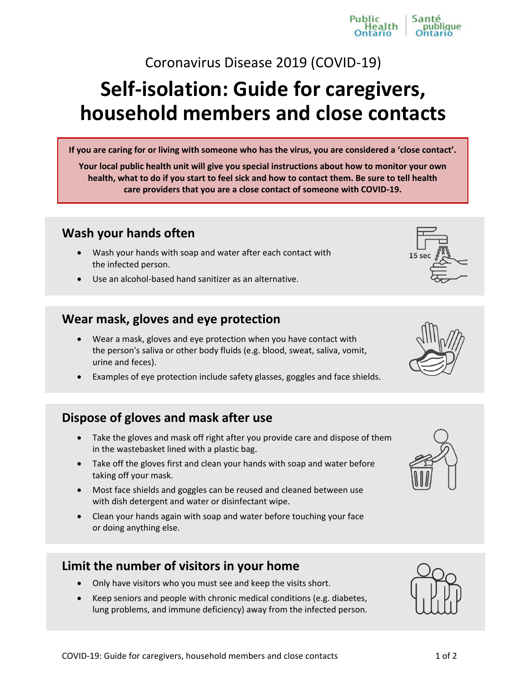Coronavirus Disease 2019 (COVID-19)

# **Self-isolation: Guide for caregivers, household members and close contacts**

**If you are caring for or living with someone who has the virus, you are considered a 'close contact'.**

**Your local public health unit will give you special instructions about how to monitor your own health, what to do if you start to feel sick and how to contact them. Be sure to tell health care providers that you are a close contact of someone with COVID-19.**

## **Wash your hands often**

- Wash your hands with soap and water after each contact with the infected person.
- Use an alcohol-based hand sanitizer as an alternative.

### **Wear mask, gloves and eye protection**

- Wear a mask, gloves and eye protection when you have contact with the person's saliva or other body fluids (e.g. blood, sweat, saliva, vomit, urine and feces).
- Examples of eye protection include safety glasses, goggles and face shields.

## **Dispose of gloves and mask after use**

- Take the gloves and mask off right after you provide care and dispose of them in the wastebasket lined with a plastic bag.
- Take off the gloves first and clean your hands with soap and water before taking off your mask.
- Most face shields and goggles can be reused and cleaned between use with dish detergent and water or disinfectant wipe.
- Clean your hands again with soap and water before touching your face or doing anything else.

## **Limit the number of visitors in your home**

- Only have visitors who you must see and keep the visits short.
- Keep seniors and people with chronic medical conditions (e.g. diabetes, lung problems, and immune deficiency) away from the infected person.